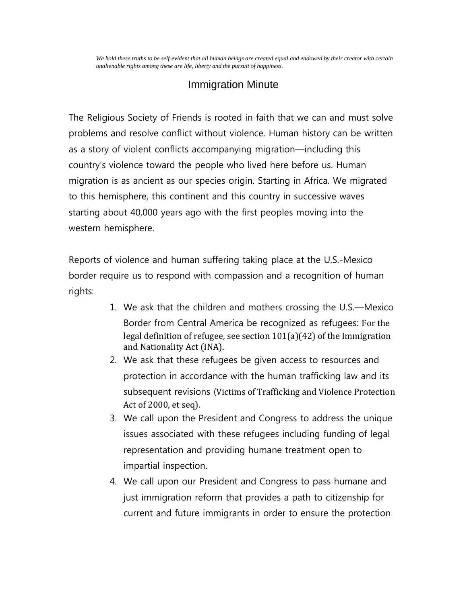*We hold these truths to be self-evident that all human beings are created equal and endowed by their creator with certain unalienable rights among these are life, liberty and the pursuit of happiness.*

## Immigration Minute

The Religious Society of Friends is rooted in faith that we can and must solve problems and resolve conflict without violence. Human history can be written as a story of violent conflicts accompanying migration—including this country's violence toward the people who lived here before us. Human migration is as ancient as our species origin. Starting in Africa. We migrated to this hemisphere, this continent and this country in successive waves starting about 40,000 years ago with the first peoples moving into the western hemisphere.

Reports of violence and human suffering taking place at the U.S.-Mexico border require us to respond with compassion and a recognition of human rights:

- 1. We ask that the children and mothers crossing the U.S.—Mexico Border from Central America be recognized as refugees: For the legal definition of refugee, see section 101(a)(42) of the Immigration and Nationality Act (INA).
- 2. We ask that these refugees be given access to resources and protection in accordance with the human trafficking law and its subsequent revisions (Victims of Trafficking and Violence Protection Act of 2000, et seq).
- 3. We call upon the President and Congress to address the unique issues associated with these refugees including funding of legal representation and providing humane treatment open to impartial inspection.
- 4. We call upon our President and Congress to pass humane and just immigration reform that provides a path to citizenship for current and future immigrants in order to ensure the protection